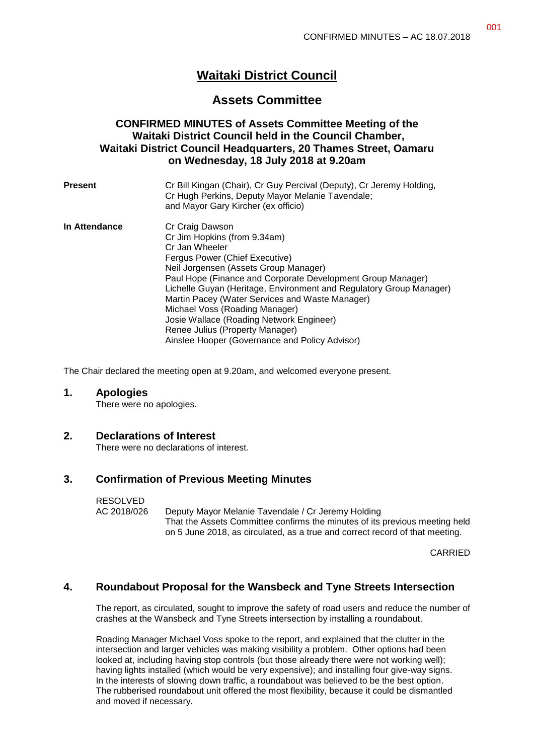# **Waitaki District Council**

## **Assets Committee**

### **CONFIRMED MINUTES of Assets Committee Meeting of the Waitaki District Council held in the Council Chamber, Waitaki District Council Headquarters, 20 Thames Street, Oamaru on Wednesday, 18 July 2018 at 9.20am**

| <b>Present</b> | Cr Bill Kingan (Chair), Cr Guy Percival (Deputy), Cr Jeremy Holding,<br>Cr Hugh Perkins, Deputy Mayor Melanie Tavendale;<br>and Mayor Gary Kircher (ex officio) |
|----------------|-----------------------------------------------------------------------------------------------------------------------------------------------------------------|
| In Attendance  | Cr Craig Dawson                                                                                                                                                 |
|                | Cr Jim Hopkins (from 9.34am)                                                                                                                                    |
|                | Cr Jan Wheeler                                                                                                                                                  |
|                | Fergus Power (Chief Executive)                                                                                                                                  |
|                | Neil Jorgensen (Assets Group Manager)                                                                                                                           |
|                | Paul Hope (Finance and Corporate Development Group Manager)                                                                                                     |
|                | Lichelle Guyan (Heritage, Environment and Regulatory Group Manager)                                                                                             |
|                | Martin Pacey (Water Services and Waste Manager)                                                                                                                 |
|                | Michael Voss (Roading Manager)                                                                                                                                  |
|                | Josie Wallace (Roading Network Engineer)                                                                                                                        |
|                | Renee Julius (Property Manager)                                                                                                                                 |
|                | Ainslee Hooper (Governance and Policy Advisor)                                                                                                                  |

The Chair declared the meeting open at 9.20am, and welcomed everyone present.

#### **1. Apologies**

There were no apologies.

### **2. Declarations of Interest**

There were no declarations of interest.

### **3. Confirmation of Previous Meeting Minutes**

#### RESOLVED

AC 2018/026 Deputy Mayor Melanie Tavendale / Cr Jeremy Holding That the Assets Committee confirms the minutes of its previous meeting held on 5 June 2018, as circulated, as a true and correct record of that meeting.

CARRIED

### **4. Roundabout Proposal for the Wansbeck and Tyne Streets Intersection**

The report, as circulated, sought to improve the safety of road users and reduce the number of crashes at the Wansbeck and Tyne Streets intersection by installing a roundabout.

Roading Manager Michael Voss spoke to the report, and explained that the clutter in the intersection and larger vehicles was making visibility a problem. Other options had been looked at, including having stop controls (but those already there were not working well); having lights installed (which would be very expensive); and installing four give-way signs. In the interests of slowing down traffic, a roundabout was believed to be the best option. The rubberised roundabout unit offered the most flexibility, because it could be dismantled and moved if necessary.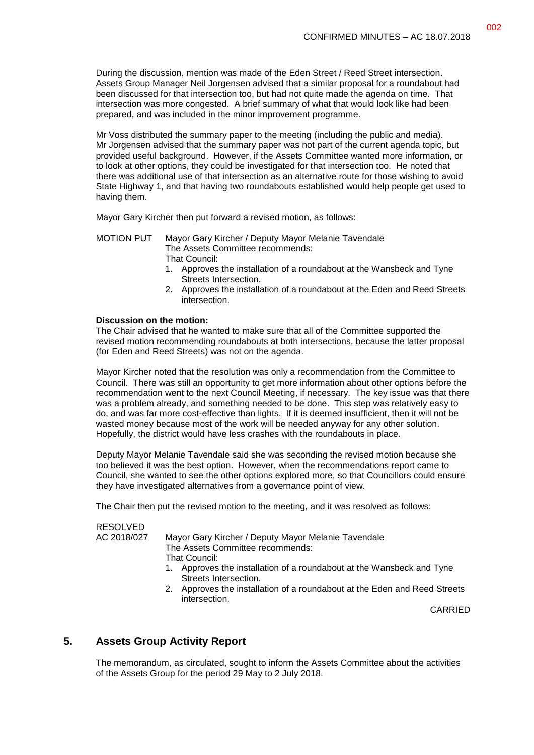During the discussion, mention was made of the Eden Street / Reed Street intersection. Assets Group Manager Neil Jorgensen advised that a similar proposal for a roundabout had been discussed for that intersection too, but had not quite made the agenda on time. That intersection was more congested. A brief summary of what that would look like had been prepared, and was included in the minor improvement programme.

Mr Voss distributed the summary paper to the meeting (including the public and media). Mr Jorgensen advised that the summary paper was not part of the current agenda topic, but provided useful background. However, if the Assets Committee wanted more information, or to look at other options, they could be investigated for that intersection too. He noted that there was additional use of that intersection as an alternative route for those wishing to avoid State Highway 1, and that having two roundabouts established would help people get used to having them.

Mayor Gary Kircher then put forward a revised motion, as follows:

#### MOTION PUT Mayor Gary Kircher / Deputy Mayor Melanie Tavendale The Assets Committee recommends: That Council:

- 1. Approves the installation of a roundabout at the Wansbeck and Tyne Streets Intersection.
- 2. Approves the installation of a roundabout at the Eden and Reed Streets intersection.

#### **Discussion on the motion:**

The Chair advised that he wanted to make sure that all of the Committee supported the revised motion recommending roundabouts at both intersections, because the latter proposal (for Eden and Reed Streets) was not on the agenda.

Mayor Kircher noted that the resolution was only a recommendation from the Committee to Council. There was still an opportunity to get more information about other options before the recommendation went to the next Council Meeting, if necessary. The key issue was that there was a problem already, and something needed to be done. This step was relatively easy to do, and was far more cost-effective than lights. If it is deemed insufficient, then it will not be wasted money because most of the work will be needed anyway for any other solution. Hopefully, the district would have less crashes with the roundabouts in place.

Deputy Mayor Melanie Tavendale said she was seconding the revised motion because she too believed it was the best option. However, when the recommendations report came to Council, she wanted to see the other options explored more, so that Councillors could ensure they have investigated alternatives from a governance point of view.

The Chair then put the revised motion to the meeting, and it was resolved as follows:

### RESOLVED

AC 2018/027 Mayor Gary Kircher / Deputy Mayor Melanie Tavendale The Assets Committee recommends: That Council:

- 1. Approves the installation of a roundabout at the Wansbeck and Tyne Streets Intersection.
- 2. Approves the installation of a roundabout at the Eden and Reed Streets intersection.

CARRIED

### **5. Assets Group Activity Report**

The memorandum, as circulated, sought to inform the Assets Committee about the activities of the Assets Group for the period 29 May to 2 July 2018.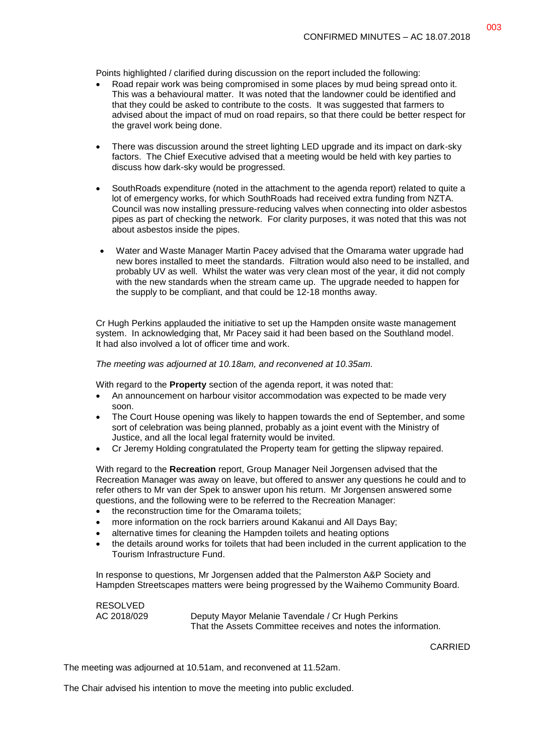Points highlighted / clarified during discussion on the report included the following:

- Road repair work was being compromised in some places by mud being spread onto it. This was a behavioural matter. It was noted that the landowner could be identified and that they could be asked to contribute to the costs. It was suggested that farmers to advised about the impact of mud on road repairs, so that there could be better respect for the gravel work being done.
- There was discussion around the street lighting LED upgrade and its impact on dark-sky factors. The Chief Executive advised that a meeting would be held with key parties to discuss how dark-sky would be progressed.
- SouthRoads expenditure (noted in the attachment to the agenda report) related to quite a lot of emergency works, for which SouthRoads had received extra funding from NZTA. Council was now installing pressure-reducing valves when connecting into older asbestos pipes as part of checking the network. For clarity purposes, it was noted that this was not about asbestos inside the pipes.
- Water and Waste Manager Martin Pacey advised that the Omarama water upgrade had new bores installed to meet the standards. Filtration would also need to be installed, and probably UV as well. Whilst the water was very clean most of the year, it did not comply with the new standards when the stream came up. The upgrade needed to happen for the supply to be compliant, and that could be 12-18 months away.

Cr Hugh Perkins applauded the initiative to set up the Hampden onsite waste management system. In acknowledging that, Mr Pacey said it had been based on the Southland model. It had also involved a lot of officer time and work.

#### *The meeting was adjourned at 10.18am, and reconvened at 10.35am.*

With regard to the **Property** section of the agenda report, it was noted that:

- An announcement on harbour visitor accommodation was expected to be made very soon.
- The Court House opening was likely to happen towards the end of September, and some sort of celebration was being planned, probably as a joint event with the Ministry of Justice, and all the local legal fraternity would be invited.
- Cr Jeremy Holding congratulated the Property team for getting the slipway repaired.

With regard to the **Recreation** report, Group Manager Neil Jorgensen advised that the Recreation Manager was away on leave, but offered to answer any questions he could and to refer others to Mr van der Spek to answer upon his return. Mr Jorgensen answered some questions, and the following were to be referred to the Recreation Manager:

- the reconstruction time for the Omarama toilets:
- more information on the rock barriers around Kakanui and All Days Bay;
- alternative times for cleaning the Hampden toilets and heating options
- the details around works for toilets that had been included in the current application to the Tourism Infrastructure Fund.

In response to questions, Mr Jorgensen added that the Palmerston A&P Society and Hampden Streetscapes matters were being progressed by the Waihemo Community Board.

RESOLVED

AC 2018/029 Deputy Mayor Melanie Tavendale / Cr Hugh Perkins That the Assets Committee receives and notes the information.

CARRIED

The meeting was adjourned at 10.51am, and reconvened at 11.52am.

The Chair advised his intention to move the meeting into public excluded.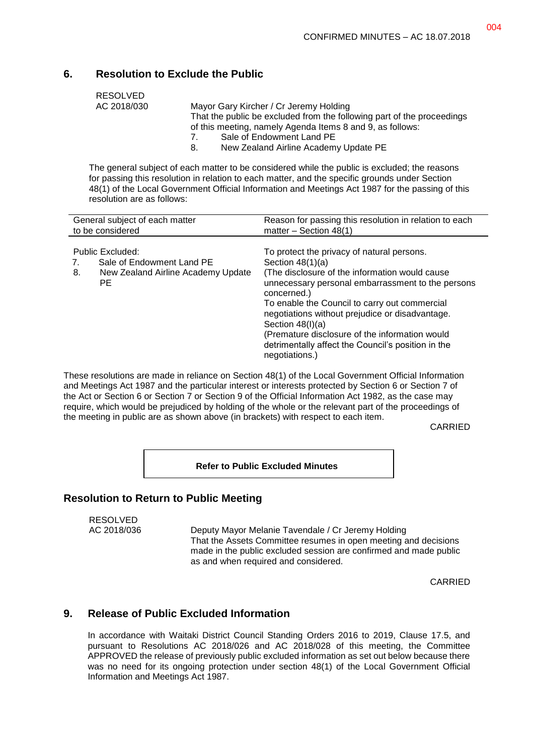### **6. Resolution to Exclude the Public**

| RESOLVED    |                                                                        |  |
|-------------|------------------------------------------------------------------------|--|
| AC 2018/030 | Mayor Gary Kircher / Cr Jeremy Holding                                 |  |
|             | That the public be excluded from the following part of the proceedings |  |
|             | of this meeting, namely Agenda Items 8 and 9, as follows:              |  |
|             | Sale of Endowment Land PE<br>7                                         |  |
|             | New Zealand Airline Academy Update PE<br>8.                            |  |

The general subject of each matter to be considered while the public is excluded; the reasons for passing this resolution in relation to each matter, and the specific grounds under Section 48(1) of the Local Government Official Information and Meetings Act 1987 for the passing of this resolution are as follows:

| General subject of each matter                                                                   | Reason for passing this resolution in relation to each                                                                                                                                                                                                                                                                                                                                                                                      |
|--------------------------------------------------------------------------------------------------|---------------------------------------------------------------------------------------------------------------------------------------------------------------------------------------------------------------------------------------------------------------------------------------------------------------------------------------------------------------------------------------------------------------------------------------------|
| to be considered                                                                                 | matter - Section 48(1)                                                                                                                                                                                                                                                                                                                                                                                                                      |
| Public Excluded:<br>Sale of Endowment Land PE<br>New Zealand Airline Academy Update<br>8.<br>PE. | To protect the privacy of natural persons.<br>Section $48(1)(a)$<br>(The disclosure of the information would cause)<br>unnecessary personal embarrassment to the persons<br>concerned.)<br>To enable the Council to carry out commercial<br>negotiations without prejudice or disadvantage.<br>Section $48(l)(a)$<br>(Premature disclosure of the information would<br>detrimentally affect the Council's position in the<br>negotiations.) |

These resolutions are made in reliance on Section 48(1) of the Local Government Official Information and Meetings Act 1987 and the particular interest or interests protected by Section 6 or Section 7 of the Act or Section 6 or Section 7 or Section 9 of the Official Information Act 1982, as the case may require, which would be prejudiced by holding of the whole or the relevant part of the proceedings of the meeting in public are as shown above (in brackets) with respect to each item.

CARRIED

**Refer to Public Excluded Minutes**

### **Resolution to Return to Public Meeting**

# RESOLVED

AC 2018/036 Deputy Mayor Melanie Tavendale / Cr Jeremy Holding That the Assets Committee resumes in open meeting and decisions made in the public excluded session are confirmed and made public as and when required and considered.

CARRIED

### **9. Release of Public Excluded Information**

In accordance with Waitaki District Council Standing Orders 2016 to 2019, Clause 17.5, and pursuant to Resolutions AC 2018/026 and AC 2018/028 of this meeting, the Committee APPROVED the release of previously public excluded information as set out below because there was no need for its ongoing protection under section 48(1) of the Local Government Official Information and Meetings Act 1987.